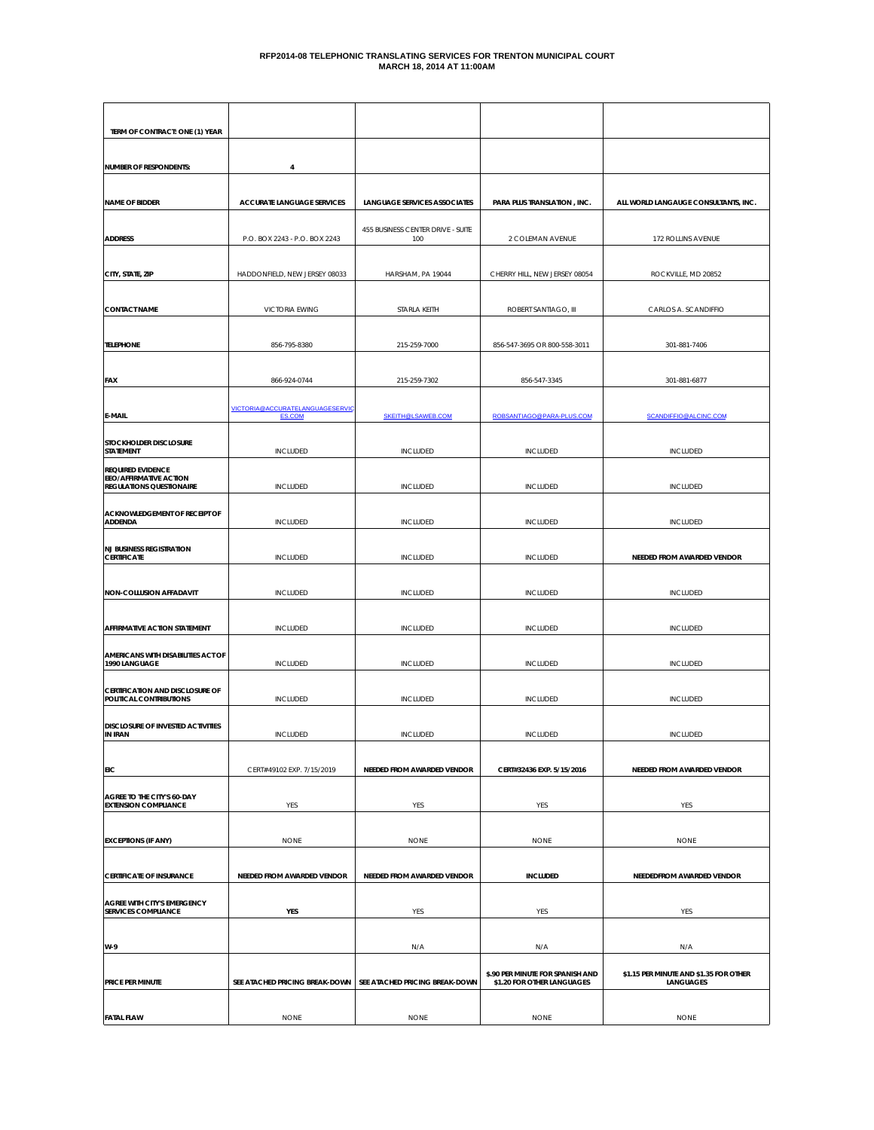| TERM OF CONTRACT: ONE (1) YEAR                                                               |                                                  |                                          |                                                                |                                                     |
|----------------------------------------------------------------------------------------------|--------------------------------------------------|------------------------------------------|----------------------------------------------------------------|-----------------------------------------------------|
| <b>NUMBER OF RESPONDENTS:</b>                                                                | 4                                                |                                          |                                                                |                                                     |
| <b>NAME OF BIDDER</b>                                                                        | <b>ACCURATE LANGUAGE SERVICES</b>                | <b>LANGUAGE SERVICES ASSOCIATES</b>      | PARA PLUS TRANSLATION, INC.                                    | ALL WORLD LANGAUGE CONSULTANTS, INC.                |
| <b>ADDRESS</b>                                                                               | P.O. BOX 2243 - P.O. BOX 2243                    | 455 BUSINESS CENTER DRIVE - SUITE<br>100 | 2 COLEMAN AVENUE                                               | 172 ROLLINS AVENUE                                  |
| CITY, STATE, ZIP                                                                             | HADDONFIELD, NEW JERSEY 08033                    | HARSHAM, PA 19044                        | CHERRY HILL, NEW JERSEY 08054                                  | ROCKVILLE, MD 20852                                 |
| <b>CONTACT NAME</b>                                                                          | <b>VICTORIA EWING</b>                            | STARLA KEITH                             | ROBERT SANTIAGO, III                                           | CARLOS A. SCANDIFFIO                                |
| <b>TELEPHONE</b>                                                                             | 856-795-8380                                     | 215-259-7000                             | 856-547-3695 OR 800-558-3011                                   | 301-881-7406                                        |
| FAX                                                                                          | 866-924-0744                                     | 215-259-7302                             | 856-547-3345                                                   | 301-881-6877                                        |
| E-MAIL                                                                                       | VICTORIA@ACCURATELANGUAGESERVIC<br><b>ES.COM</b> | SKEITH@LSAWEB.COM                        | ROBSANTIAGO@PARA-PLUS.COM                                      | SCANDIFFIO@ALCINC.COM                               |
| STOCKHOLDER DISCLOSURE<br><b>STATEMENT</b>                                                   | <b>INCLUDED</b>                                  | INCLUDED                                 | INCLUDED                                                       | INCLUDED                                            |
| <b>REQUIRED EVIDENCE</b><br><b>EEO/AFFIRMATIVE ACTION</b><br><b>REGULATIONS QUESTIONAIRE</b> | <b>INCLUDED</b>                                  | <b>INCLUDED</b>                          | <b>INCLUDED</b>                                                | <b>INCLUDED</b>                                     |
| ACKNOWLEDGEMENT OF RECEIPT OF<br><b>ADDENDA</b>                                              | INCLUDED                                         | INCLUDED                                 | INCLUDED                                                       | <b>INCLUDED</b>                                     |
| <b>NJ BUSINESS REGISTRATION</b><br><b>CERTIFICATE</b>                                        | <b>INCLUDED</b>                                  | <b>INCLUDED</b>                          | INCLUDED                                                       | NEEDED FROM AWARDED VENDOR                          |
| <b>NON-COLLUSION AFFADAVIT</b>                                                               | <b>INCLUDED</b>                                  | <b>INCLUDED</b>                          | <b>INCLUDED</b>                                                | <b>INCLUDED</b>                                     |
| <b>AFFIRMATIVE ACTION STATEMENT</b>                                                          | <b>INCLUDED</b>                                  | <b>INCLUDED</b>                          | <b>INCLUDED</b>                                                | <b>INCLUDED</b>                                     |
| AMERICANS WITH DISABILITIES ACT OF<br>1990 LANGUAGE                                          | INCLUDED                                         | <b>INCLUDED</b>                          | INCLUDED                                                       | <b>INCLUDED</b>                                     |
| CERTIFICATION AND DISCLOSURE OF<br>POLITICAL CONTRIBUTIONS                                   | INCLUDED                                         | INCLUDED                                 | INCLUDED                                                       | <b>INCLUDED</b>                                     |
| DISCLOSURE OF INVESTED ACTIVITIES<br>IN IRAN                                                 | <b>INCLUDED</b>                                  | <b>INCLUDED</b>                          | <b>INCLUDED</b>                                                | <b>INCLUDED</b>                                     |
| <b>EIC</b>                                                                                   | CERT#49102 EXP. 7/15/2019                        | NEEDED FROM AWARDED VENDOR               | CERT#32436 EXP. 5/15/2016                                      | NEEDED FROM AWARDED VENDOR                          |
| AGREE TO THE CITY'S 60-DAY<br><b>EXTENSION COMPLIANCE</b>                                    | YES                                              | YES                                      | YES                                                            | YES                                                 |
| <b>EXCEPTIONS (IF ANY)</b>                                                                   | <b>NONE</b>                                      | <b>NONE</b>                              | <b>NONE</b>                                                    | <b>NONE</b>                                         |
|                                                                                              |                                                  |                                          |                                                                |                                                     |
| <b>CERTIFICATE OF INSURANCE</b>                                                              | NEEDED FROM AWARDED VENDOR                       | NEEDED FROM AWARDED VENDOR               | <b>INCLUDED</b>                                                | NEEDEDFROM AWARDED VENDOR                           |
| AGREE WITH CITY'S EMERGENCY<br><b>SERVICES COMPLIANCE</b>                                    | YES                                              | YES                                      | YES                                                            | YES                                                 |
| W-9                                                                                          |                                                  | N/A                                      | N/A                                                            | N/A                                                 |
| PRICE PER MINUTE                                                                             | SEE ATACHED PRICING BREAK-DOWN                   | SEE ATACHED PRICING BREAK-DOWN           | \$.90 PER MINUTE FOR SPANISH AND<br>\$1.20 FOR OTHER LANGUAGES | \$1.15 PER MINUTE AND \$1.35 FOR OTHER<br>LANGUAGES |
| <b>FATAL FLAW</b>                                                                            | <b>NONE</b>                                      | <b>NONE</b>                              | <b>NONE</b>                                                    | <b>NONE</b>                                         |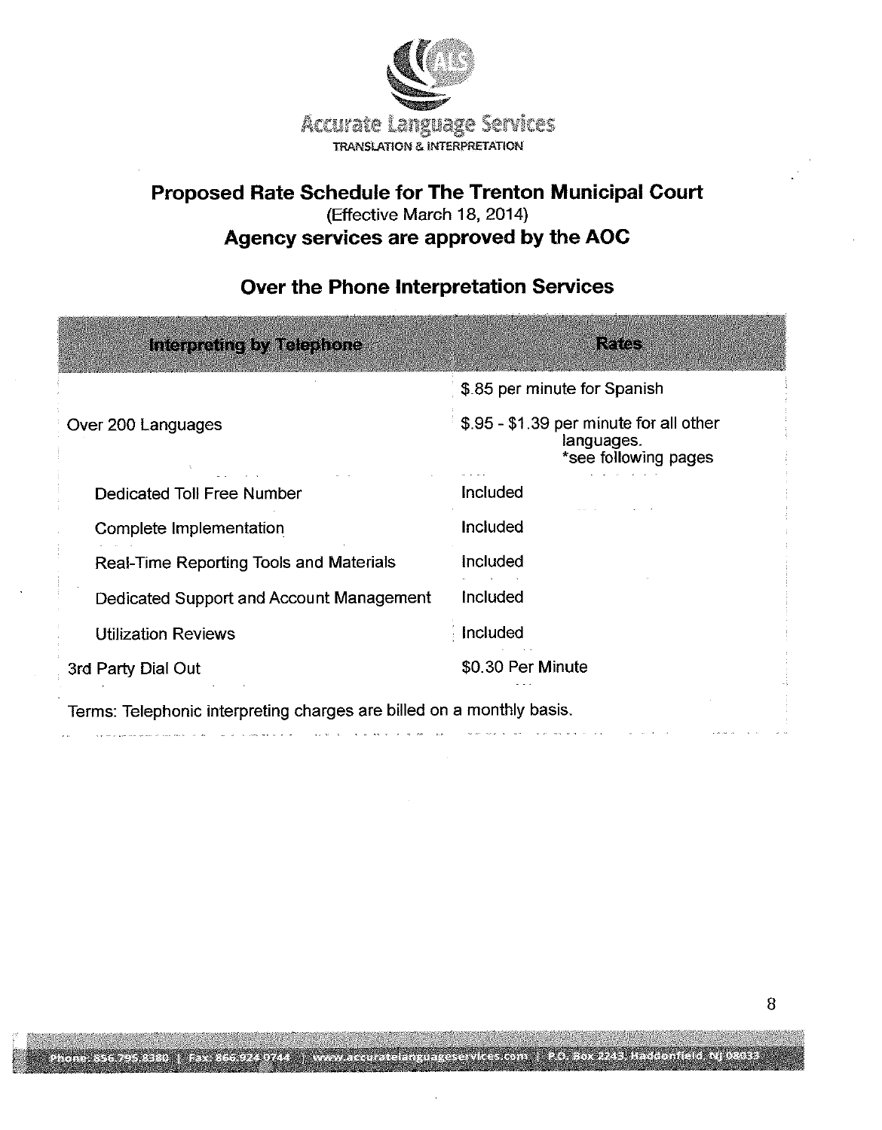

## Proposed Rate Schedule for The Trenton Municipal Court (Effective March 18, 2014) Agency services are approved by the AOC

## **Rates Interpreting by Telephone** \$.85 per minute for Spanish \$.95 - \$1.39 per minute for all other Over 200 Languages languages. \*see following pages Dedicated Toll Free Number Included Included Complete Implementation Real-Time Reporting Tools and Materials Included Included Dedicated Support and Account Management Included **Utilization Reviews** \$0.30 Per Minute 3rd Party Dial Out Terms: Telephonic interpreting charges are billed on a monthly basis.

in a change and a

## Over the Phone Interpretation Services